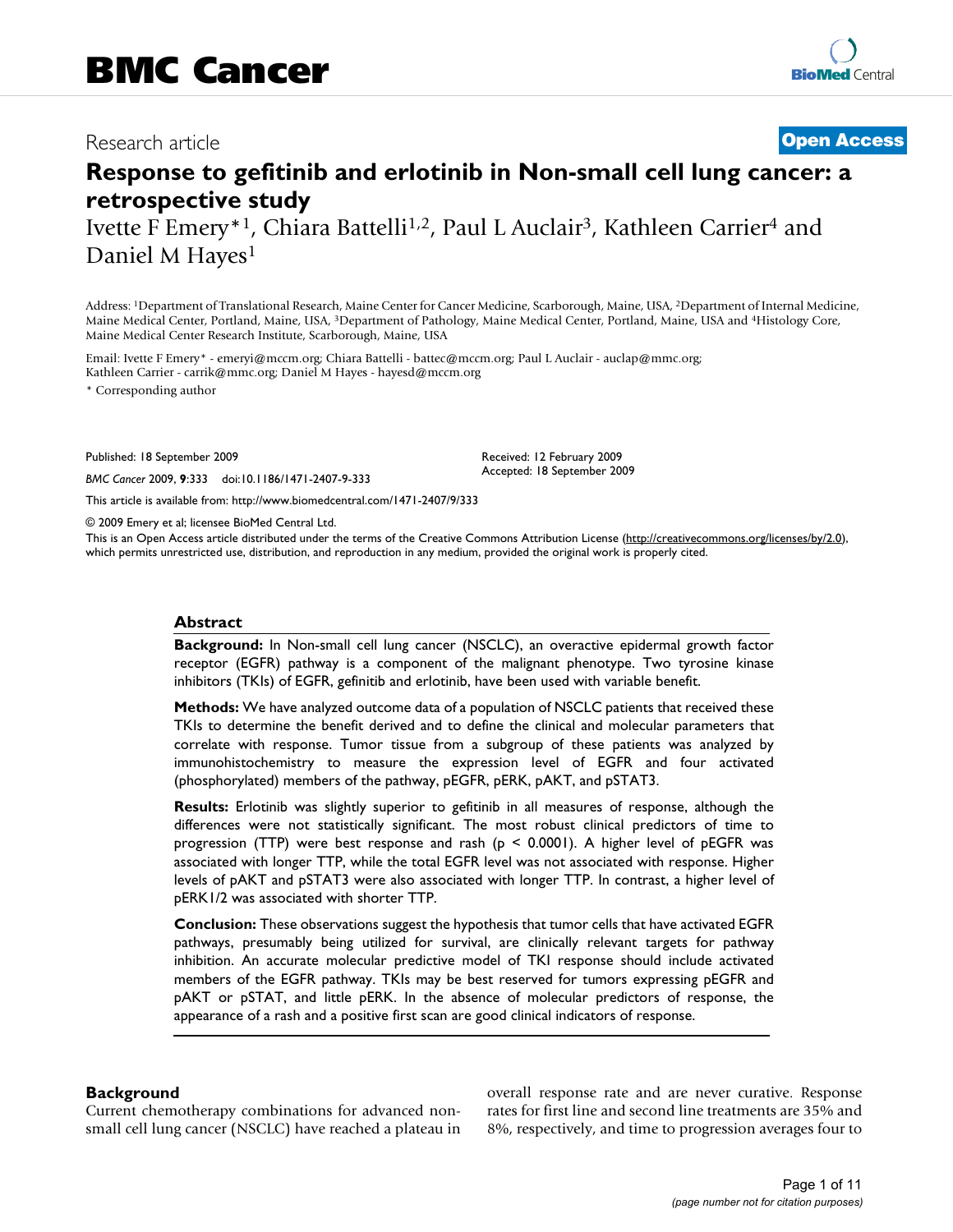## Research article **[Open Access](http://www.biomedcentral.com/info/about/charter/)**

# **Response to gefitinib and erlotinib in Non-small cell lung cancer: a retrospective study**

Ivette F Emery<sup>\*1</sup>, Chiara Battelli<sup>1,2</sup>, Paul L Auclair<sup>3</sup>, Kathleen Carrier<sup>4</sup> and Daniel M Hayes<sup>1</sup>

Address: 1Department of Translational Research, Maine Center for Cancer Medicine, Scarborough, Maine, USA, 2Department of Internal Medicine, Maine Medical Center, Portland, Maine, USA, 3Department of Pathology, Maine Medical Center, Portland, Maine, USA and 4Histology Core, Maine Medical Center Research Institute, Scarborough, Maine, USA

Email: Ivette F Emery\* - emeryi@mccm.org; Chiara Battelli - battec@mccm.org; Paul L Auclair - auclap@mmc.org; Kathleen Carrier - carrik@mmc.org; Daniel M Hayes - hayesd@mccm.org

\* Corresponding author

Published: 18 September 2009

*BMC Cancer* 2009, **9**:333 doi:10.1186/1471-2407-9-333

[This article is available from: http://www.biomedcentral.com/1471-2407/9/333](http://www.biomedcentral.com/1471-2407/9/333)

© 2009 Emery et al; licensee BioMed Central Ltd.

This is an Open Access article distributed under the terms of the Creative Commons Attribution License [\(http://creativecommons.org/licenses/by/2.0\)](http://creativecommons.org/licenses/by/2.0), which permits unrestricted use, distribution, and reproduction in any medium, provided the original work is properly cited.

Received: 12 February 2009 Accepted: 18 September 2009

#### **Abstract**

**Background:** In Non-small cell lung cancer (NSCLC), an overactive epidermal growth factor receptor (EGFR) pathway is a component of the malignant phenotype. Two tyrosine kinase inhibitors (TKIs) of EGFR, gefinitib and erlotinib, have been used with variable benefit.

**Methods:** We have analyzed outcome data of a population of NSCLC patients that received these TKIs to determine the benefit derived and to define the clinical and molecular parameters that correlate with response. Tumor tissue from a subgroup of these patients was analyzed by immunohistochemistry to measure the expression level of EGFR and four activated (phosphorylated) members of the pathway, pEGFR, pERK, pAKT, and pSTAT3.

**Results:** Erlotinib was slightly superior to gefitinib in all measures of response, although the differences were not statistically significant. The most robust clinical predictors of time to progression (TTP) were best response and rash ( $p \le 0.0001$ ). A higher level of pEGFR was associated with longer TTP, while the total EGFR level was not associated with response. Higher levels of pAKT and pSTAT3 were also associated with longer TTP. In contrast, a higher level of pERK1/2 was associated with shorter TTP.

**Conclusion:** These observations suggest the hypothesis that tumor cells that have activated EGFR pathways, presumably being utilized for survival, are clinically relevant targets for pathway inhibition. An accurate molecular predictive model of TKI response should include activated members of the EGFR pathway. TKIs may be best reserved for tumors expressing pEGFR and pAKT or pSTAT, and little pERK. In the absence of molecular predictors of response, the appearance of a rash and a positive first scan are good clinical indicators of response.

#### **Background**

Current chemotherapy combinations for advanced nonsmall cell lung cancer (NSCLC) have reached a plateau in overall response rate and are never curative. Response rates for first line and second line treatments are 35% and 8%, respectively, and time to progression averages four to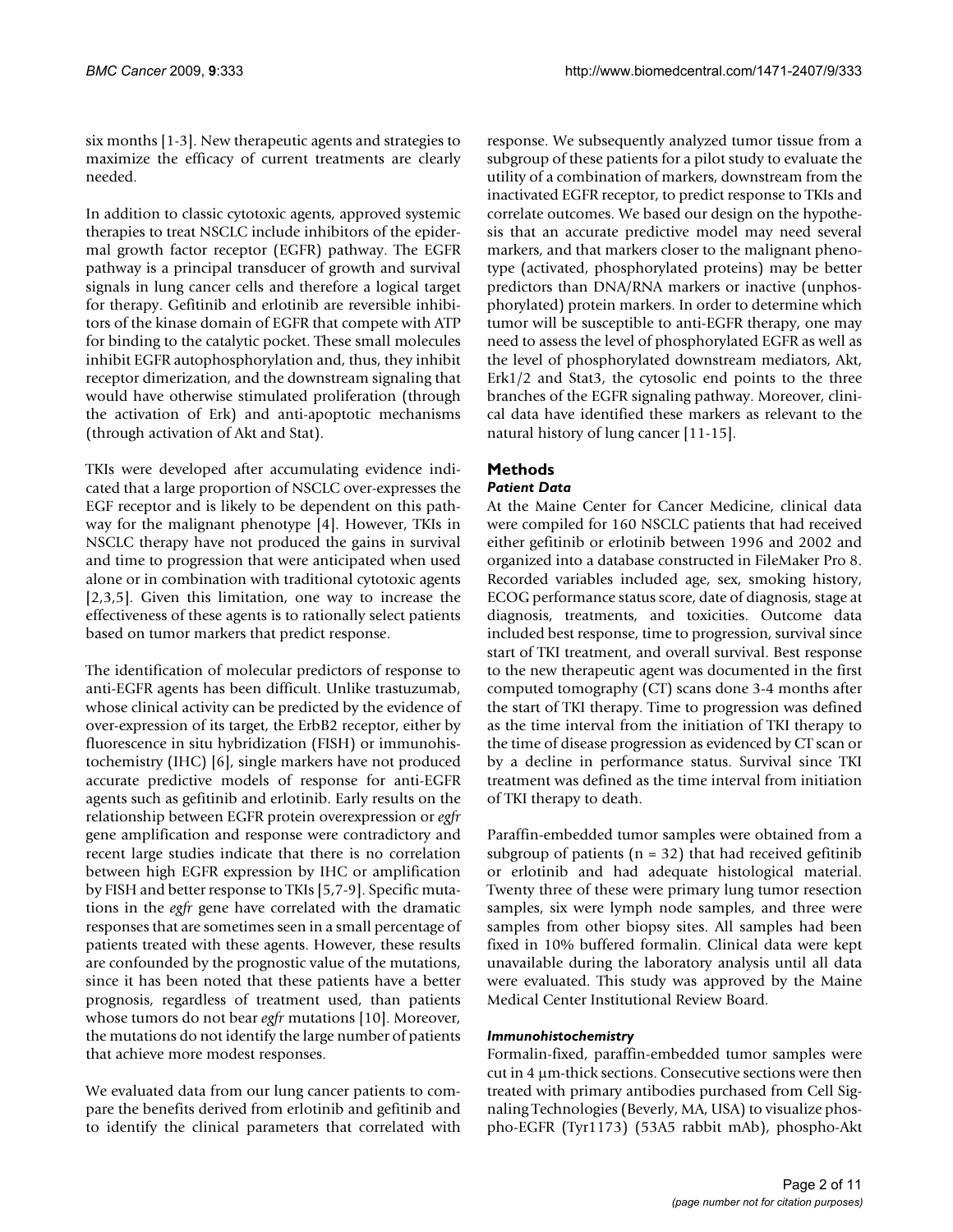six months [1-3]. New therapeutic agents and strategies to maximize the efficacy of current treatments are clearly needed.

In addition to classic cytotoxic agents, approved systemic therapies to treat NSCLC include inhibitors of the epidermal growth factor receptor (EGFR) pathway. The EGFR pathway is a principal transducer of growth and survival signals in lung cancer cells and therefore a logical target for therapy. Gefitinib and erlotinib are reversible inhibitors of the kinase domain of EGFR that compete with ATP for binding to the catalytic pocket. These small molecules inhibit EGFR autophosphorylation and, thus, they inhibit receptor dimerization, and the downstream signaling that would have otherwise stimulated proliferation (through the activation of Erk) and anti-apoptotic mechanisms (through activation of Akt and Stat).

TKIs were developed after accumulating evidence indicated that a large proportion of NSCLC over-expresses the EGF receptor and is likely to be dependent on this pathway for the malignant phenotype [4]. However, TKIs in NSCLC therapy have not produced the gains in survival and time to progression that were anticipated when used alone or in combination with traditional cytotoxic agents [2,3,5]. Given this limitation, one way to increase the effectiveness of these agents is to rationally select patients based on tumor markers that predict response.

The identification of molecular predictors of response to anti-EGFR agents has been difficult. Unlike trastuzumab, whose clinical activity can be predicted by the evidence of over-expression of its target, the ErbB2 receptor, either by fluorescence in situ hybridization (FISH) or immunohistochemistry (IHC) [6], single markers have not produced accurate predictive models of response for anti-EGFR agents such as gefitinib and erlotinib. Early results on the relationship between EGFR protein overexpression or *egfr* gene amplification and response were contradictory and recent large studies indicate that there is no correlation between high EGFR expression by IHC or amplification by FISH and better response to TKIs [5,7-9]. Specific mutations in the *egfr* gene have correlated with the dramatic responses that are sometimes seen in a small percentage of patients treated with these agents. However, these results are confounded by the prognostic value of the mutations, since it has been noted that these patients have a better prognosis, regardless of treatment used, than patients whose tumors do not bear *egfr* mutations [10]. Moreover, the mutations do not identify the large number of patients that achieve more modest responses.

We evaluated data from our lung cancer patients to compare the benefits derived from erlotinib and gefitinib and to identify the clinical parameters that correlated with

response. We subsequently analyzed tumor tissue from a subgroup of these patients for a pilot study to evaluate the utility of a combination of markers, downstream from the inactivated EGFR receptor, to predict response to TKIs and correlate outcomes. We based our design on the hypothesis that an accurate predictive model may need several markers, and that markers closer to the malignant phenotype (activated, phosphorylated proteins) may be better predictors than DNA/RNA markers or inactive (unphosphorylated) protein markers. In order to determine which tumor will be susceptible to anti-EGFR therapy, one may need to assess the level of phosphorylated EGFR as well as the level of phosphorylated downstream mediators, Akt, Erk1/2 and Stat3, the cytosolic end points to the three branches of the EGFR signaling pathway. Moreover, clinical data have identified these markers as relevant to the natural history of lung cancer [11-15].

# **Methods**

### *Patient Data*

At the Maine Center for Cancer Medicine, clinical data were compiled for 160 NSCLC patients that had received either gefitinib or erlotinib between 1996 and 2002 and organized into a database constructed in FileMaker Pro 8. Recorded variables included age, sex, smoking history, ECOG performance status score, date of diagnosis, stage at diagnosis, treatments, and toxicities. Outcome data included best response, time to progression, survival since start of TKI treatment, and overall survival. Best response to the new therapeutic agent was documented in the first computed tomography (CT) scans done 3-4 months after the start of TKI therapy. Time to progression was defined as the time interval from the initiation of TKI therapy to the time of disease progression as evidenced by CT scan or by a decline in performance status. Survival since TKI treatment was defined as the time interval from initiation of TKI therapy to death.

Paraffin-embedded tumor samples were obtained from a subgroup of patients ( $n = 32$ ) that had received gefitinib or erlotinib and had adequate histological material. Twenty three of these were primary lung tumor resection samples, six were lymph node samples, and three were samples from other biopsy sites. All samples had been fixed in 10% buffered formalin. Clinical data were kept unavailable during the laboratory analysis until all data were evaluated. This study was approved by the Maine Medical Center Institutional Review Board.

#### *Immunohistochemistry*

Formalin-fixed, paraffin-embedded tumor samples were cut in  $4 \mu$ m-thick sections. Consecutive sections were then treated with primary antibodies purchased from Cell Signaling Technologies (Beverly, MA, USA) to visualize phospho-EGFR (Tyr1173) (53A5 rabbit mAb), phospho-Akt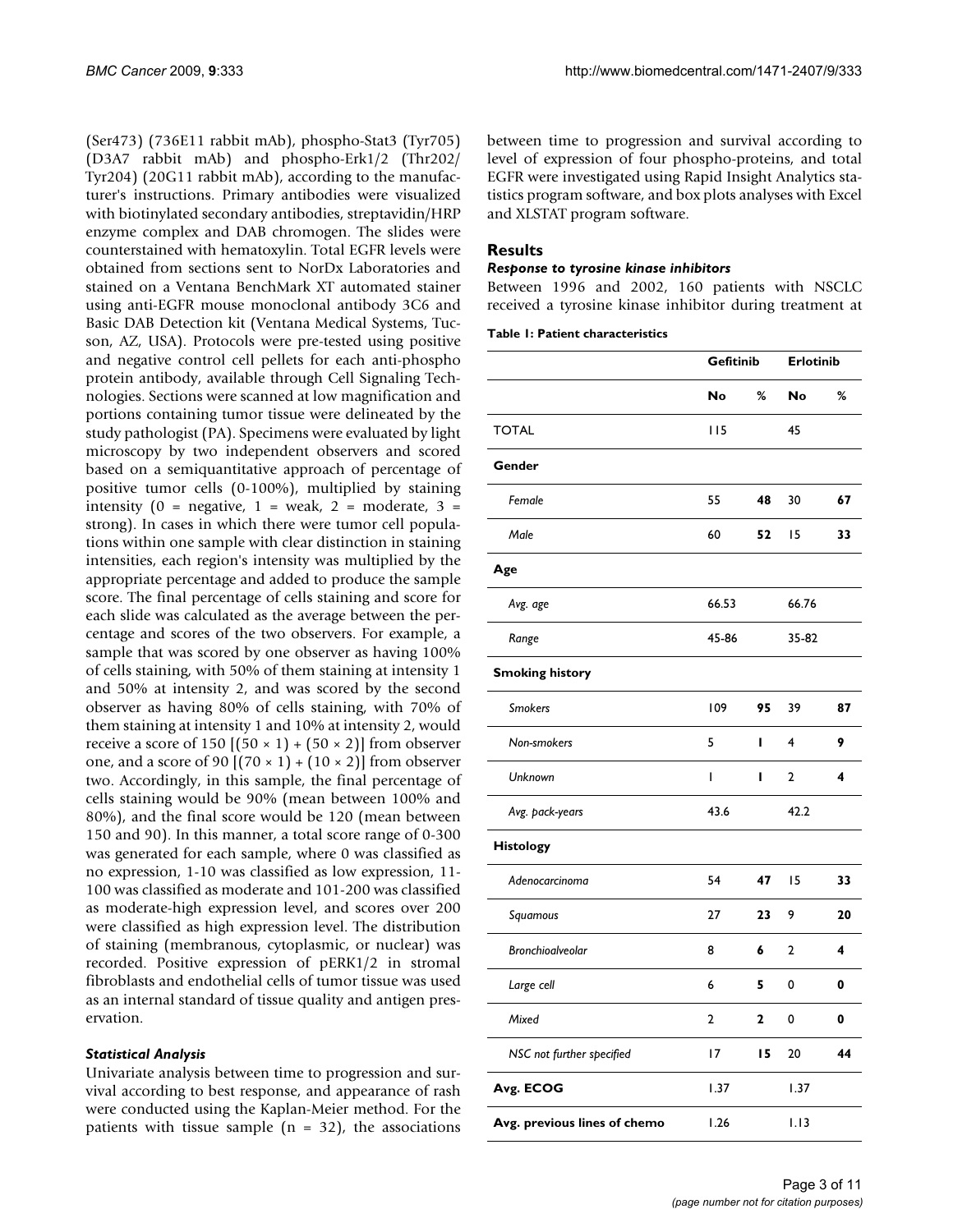(Ser473) (736E11 rabbit mAb), phospho-Stat3 (Tyr705) (D3A7 rabbit mAb) and phospho-Erk1/2 (Thr202/ Tyr204) (20G11 rabbit mAb), according to the manufacturer's instructions. Primary antibodies were visualized with biotinylated secondary antibodies, streptavidin/HRP enzyme complex and DAB chromogen. The slides were counterstained with hematoxylin. Total EGFR levels were obtained from sections sent to NorDx Laboratories and stained on a Ventana BenchMark XT automated stainer using anti-EGFR mouse monoclonal antibody 3C6 and Basic DAB Detection kit (Ventana Medical Systems, Tucson, AZ, USA). Protocols were pre-tested using positive and negative control cell pellets for each anti-phospho protein antibody, available through Cell Signaling Technologies. Sections were scanned at low magnification and portions containing tumor tissue were delineated by the study pathologist (PA). Specimens were evaluated by light microscopy by two independent observers and scored based on a semiquantitative approach of percentage of positive tumor cells (0-100%), multiplied by staining intensity (0 = negative, 1 = weak, 2 = moderate, 3 = strong). In cases in which there were tumor cell populations within one sample with clear distinction in staining intensities, each region's intensity was multiplied by the appropriate percentage and added to produce the sample score. The final percentage of cells staining and score for each slide was calculated as the average between the percentage and scores of the two observers. For example, a sample that was scored by one observer as having 100% of cells staining, with 50% of them staining at intensity 1 and 50% at intensity 2, and was scored by the second observer as having 80% of cells staining, with 70% of them staining at intensity 1 and 10% at intensity 2, would receive a score of 150  $[(50 \times 1) + (50 \times 2)]$  from observer one, and a score of 90  $[(70 \times 1) + (10 \times 2)]$  from observer two. Accordingly, in this sample, the final percentage of cells staining would be 90% (mean between 100% and 80%), and the final score would be 120 (mean between 150 and 90). In this manner, a total score range of 0-300 was generated for each sample, where 0 was classified as no expression, 1-10 was classified as low expression, 11- 100 was classified as moderate and 101-200 was classified as moderate-high expression level, and scores over 200 were classified as high expression level. The distribution of staining (membranous, cytoplasmic, or nuclear) was recorded. Positive expression of pERK1/2 in stromal fibroblasts and endothelial cells of tumor tissue was used as an internal standard of tissue quality and antigen preservation.

#### *Statistical Analysis*

Univariate analysis between time to progression and survival according to best response, and appearance of rash were conducted using the Kaplan-Meier method. For the patients with tissue sample  $(n = 32)$ , the associations

between time to progression and survival according to level of expression of four phospho-proteins, and total EGFR were investigated using Rapid Insight Analytics statistics program software, and box plots analyses with Excel and XLSTAT program software.

#### **Results**

#### *Response to tyrosine kinase inhibitors*

Between 1996 and 2002, 160 patients with NSCLC received a tyrosine kinase inhibitor during treatment at

**Table 1: Patient characteristics**

|                              |                               | <b>Gefitinib</b> |                | <b>Erlotinib</b> |  |
|------------------------------|-------------------------------|------------------|----------------|------------------|--|
|                              | <b>No</b>                     | %                | No             | %                |  |
| <b>TOTAL</b>                 | 115                           |                  | 45             |                  |  |
| Gender                       |                               |                  |                |                  |  |
| Female                       | 55                            | 48               |                | 67               |  |
| Male                         | 60<br>52                      |                  | 15             | 33               |  |
| Age                          |                               |                  |                |                  |  |
| Avg. age                     | 66.53                         |                  | 66.76          |                  |  |
| Range                        | 45-86                         |                  | 35-82          |                  |  |
| <b>Smoking history</b>       |                               |                  |                |                  |  |
| <b>Smokers</b>               | 109<br>95                     |                  | 39             | 87               |  |
| Non-smokers                  | 5                             | Ĺ                | 4              | 9                |  |
| Unknown                      | I                             | ı                | $\overline{2}$ | 4                |  |
| Avg. pack-years              | 43.6                          |                  | 42.2           |                  |  |
| <b>Histology</b>             |                               |                  |                |                  |  |
| Adenocarcinoma               | 54                            | 47               |                | 33               |  |
| Squamous                     | 27                            | 23               |                | 20               |  |
| Bronchioalveolar             | 8                             | 6                |                | 4                |  |
| Large cell                   | 6<br>5                        |                  | 0              | 0                |  |
| Mixed                        | $\overline{2}$<br>$\mathbf 2$ |                  | 0              | 0                |  |
| NSC not further specified    | 17                            | 15               | 20             | 44               |  |
| Avg. ECOG                    | 1.37                          |                  | 1.37           |                  |  |
| Avg. previous lines of chemo | 1.26                          |                  | 1.13           |                  |  |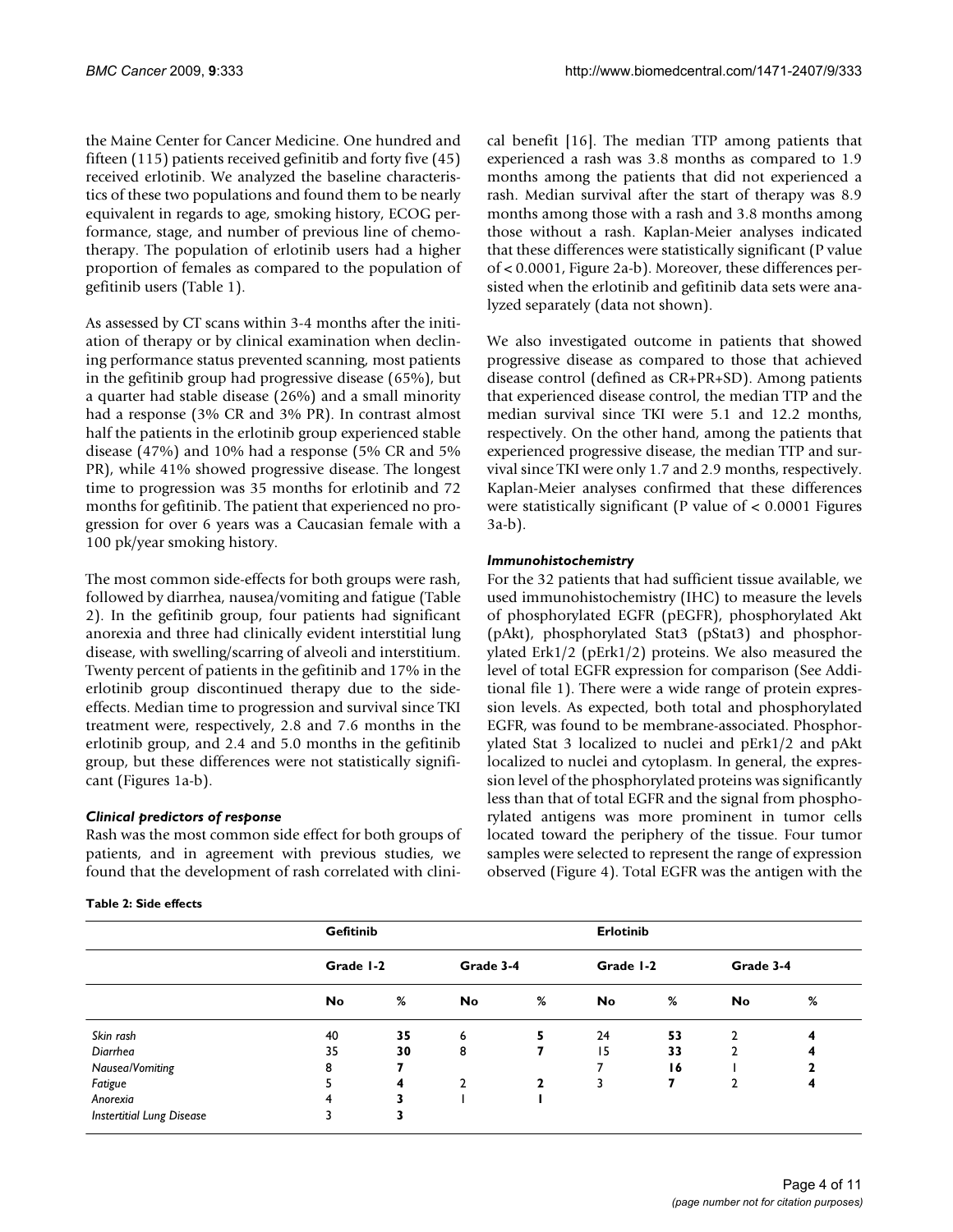the Maine Center for Cancer Medicine. One hundred and fifteen (115) patients received gefinitib and forty five (45) received erlotinib. We analyzed the baseline characteristics of these two populations and found them to be nearly equivalent in regards to age, smoking history, ECOG performance, stage, and number of previous line of chemotherapy. The population of erlotinib users had a higher proportion of females as compared to the population of gefitinib users (Table 1).

As assessed by CT scans within 3-4 months after the initiation of therapy or by clinical examination when declining performance status prevented scanning, most patients in the gefitinib group had progressive disease (65%), but a quarter had stable disease (26%) and a small minority had a response (3% CR and 3% PR). In contrast almost half the patients in the erlotinib group experienced stable disease (47%) and 10% had a response (5% CR and 5% PR), while 41% showed progressive disease. The longest time to progression was 35 months for erlotinib and 72 months for gefitinib. The patient that experienced no progression for over 6 years was a Caucasian female with a 100 pk/year smoking history.

The most common side-effects for both groups were rash, followed by diarrhea, nausea/vomiting and fatigue (Table 2). In the gefitinib group, four patients had significant anorexia and three had clinically evident interstitial lung disease, with swelling/scarring of alveoli and interstitium. Twenty percent of patients in the gefitinib and 17% in the erlotinib group discontinued therapy due to the sideeffects. Median time to progression and survival since TKI treatment were, respectively, 2.8 and 7.6 months in the erlotinib group, and 2.4 and 5.0 months in the gefitinib group, but these differences were not statistically significant (Figures 1a-b).

#### *Clinical predictors of response*

Rash was the most common side effect for both groups of patients, and in agreement with previous studies, we found that the development of rash correlated with clini-

**Table 2: Side effects**

cal benefit [16]. The median TTP among patients that experienced a rash was 3.8 months as compared to 1.9 months among the patients that did not experienced a rash. Median survival after the start of therapy was 8.9 months among those with a rash and 3.8 months among those without a rash. Kaplan-Meier analyses indicated that these differences were statistically significant (P value of < 0.0001, Figure 2a-b). Moreover, these differences persisted when the erlotinib and gefitinib data sets were analyzed separately (data not shown).

We also investigated outcome in patients that showed progressive disease as compared to those that achieved disease control (defined as CR+PR+SD). Among patients that experienced disease control, the median TTP and the median survival since TKI were 5.1 and 12.2 months, respectively. On the other hand, among the patients that experienced progressive disease, the median TTP and survival since TKI were only 1.7 and 2.9 months, respectively. Kaplan-Meier analyses confirmed that these differences were statistically significant (P value of < 0.0001 Figures 3a-b).

#### *Immunohistochemistry*

For the 32 patients that had sufficient tissue available, we used immunohistochemistry (IHC) to measure the levels of phosphorylated EGFR (pEGFR), phosphorylated Akt (pAkt), phosphorylated Stat3 (pStat3) and phosphorylated Erk1/2 (pErk1/2) proteins. We also measured the level of total EGFR expression for comparison (See Additional file 1). There were a wide range of protein expression levels. As expected, both total and phosphorylated EGFR, was found to be membrane-associated. Phosphorylated Stat 3 localized to nuclei and pErk1/2 and pAkt localized to nuclei and cytoplasm. In general, the expression level of the phosphorylated proteins was significantly less than that of total EGFR and the signal from phosphorylated antigens was more prominent in tumor cells located toward the periphery of the tissue. Four tumor samples were selected to represent the range of expression observed (Figure 4). Total EGFR was the antigen with the

|                                  | <b>Gefitinib</b> |    |                |   | <b>Erlotinib</b> |    |                |   |
|----------------------------------|------------------|----|----------------|---|------------------|----|----------------|---|
|                                  | Grade I-2        |    | Grade 3-4      |   | Grade I-2        |    | Grade 3-4      |   |
|                                  | No               | %  | No             | % | No               | %  | No             | % |
| Skin rash                        | 40               | 35 | 6              | 5 | 24               | 53 | $\overline{2}$ | Δ |
| Diarrhea                         | 35               | 30 | 8              | 7 | 15               | 33 | c              | 4 |
| Nausea/Vomiting                  | 8                |    |                |   |                  | 16 |                |   |
| Fatigue                          |                  | 4  | $\overline{2}$ | 2 | 3                | 7  | 2              | 4 |
| Anorexia                         |                  |    |                |   |                  |    |                |   |
| <b>Instertitial Lung Disease</b> |                  | 3  |                |   |                  |    |                |   |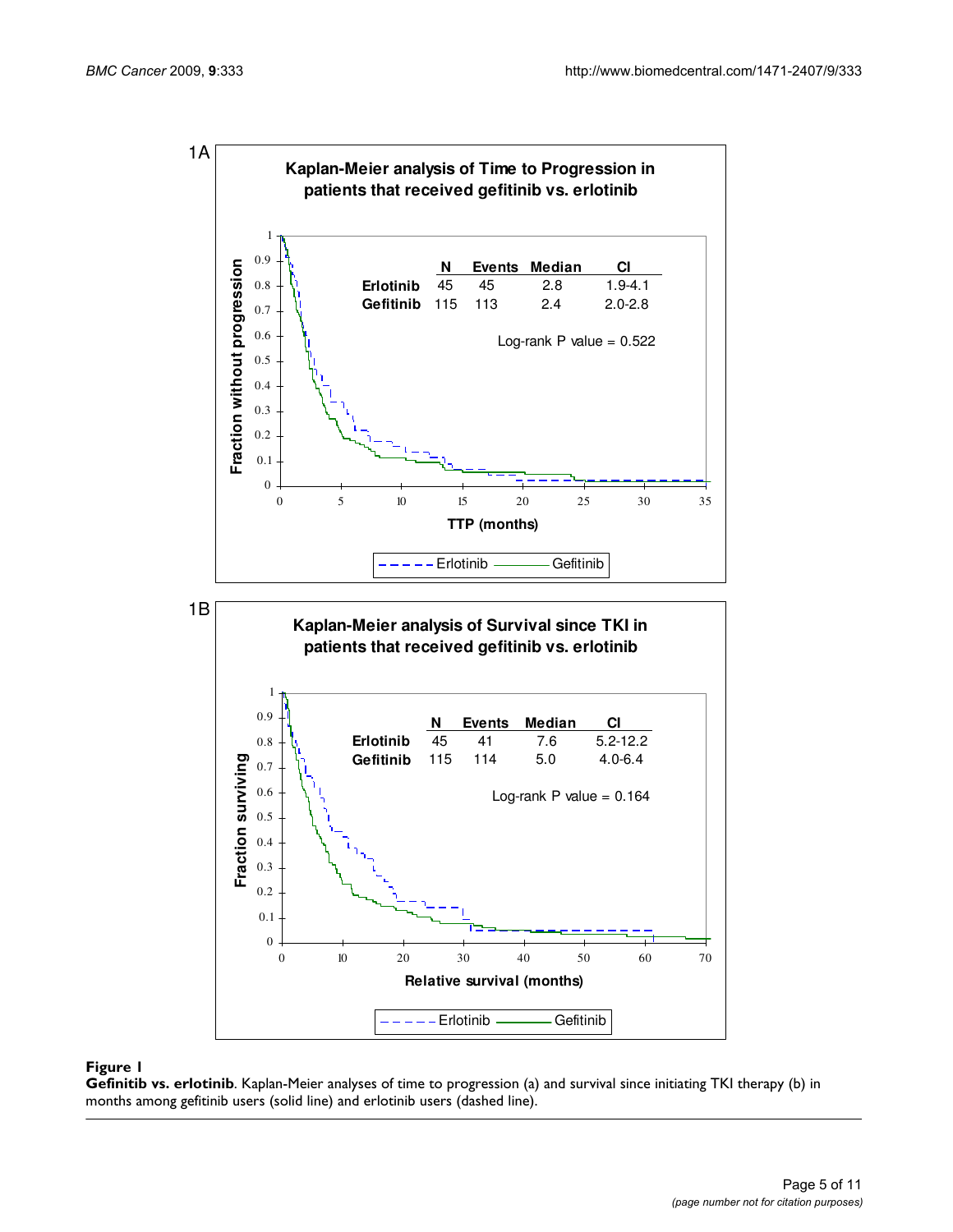

**Gefinitib vs. erlotinib**. Kaplan-Meier analyses of time to progression (a) and survival since initiating TKI therapy (b) in months among gefitinib users (solid line) and erlotinib users (dashed line).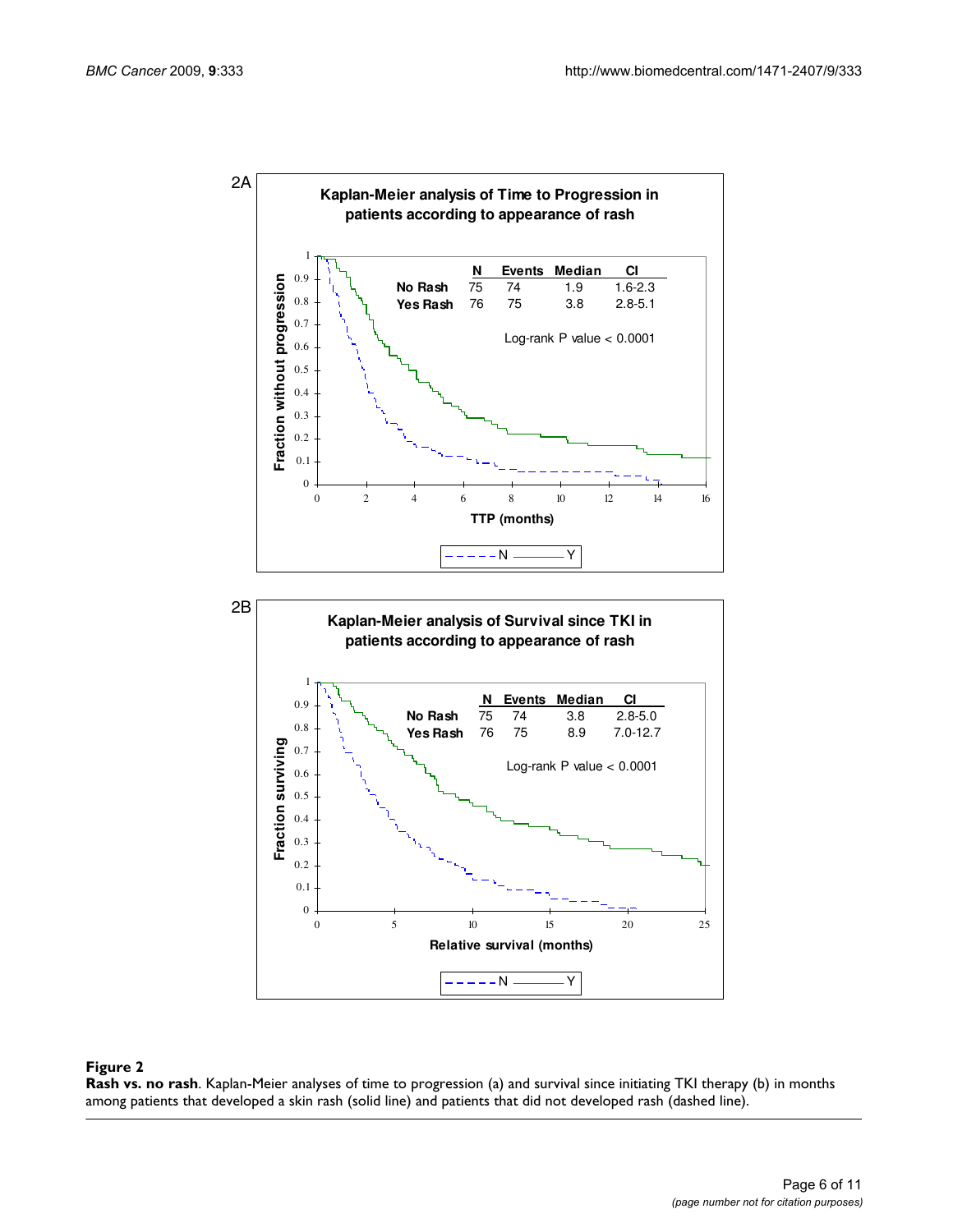

**Rash vs. no rash**. Kaplan-Meier analyses of time to progression (a) and survival since initiating TKI therapy (b) in months among patients that developed a skin rash (solid line) and patients that did not developed rash (dashed line).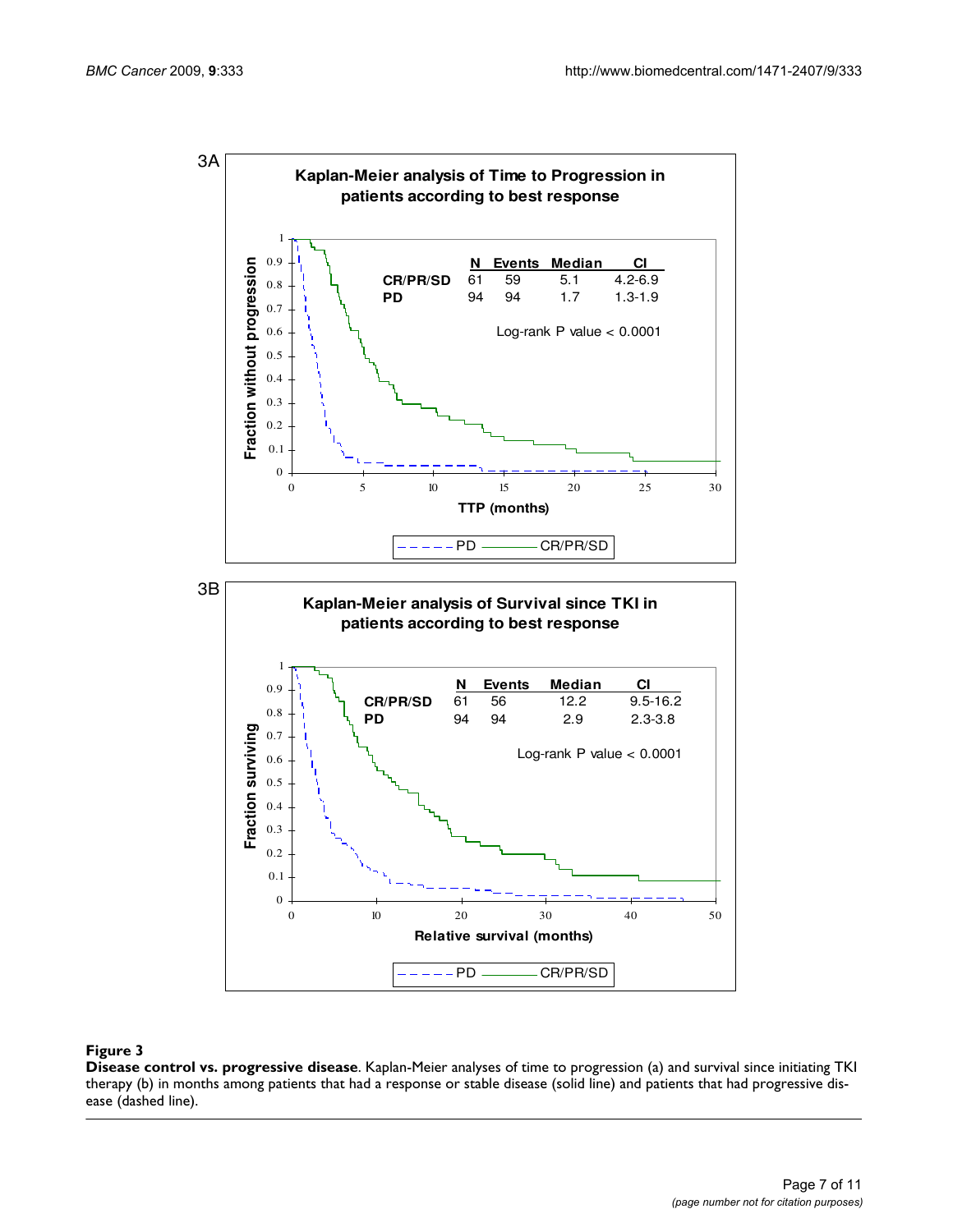

**Disease control vs. progressive disease**. Kaplan-Meier analyses of time to progression (a) and survival since initiating TKI therapy (b) in months among patients that had a response or stable disease (solid line) and patients that had progressive disease (dashed line).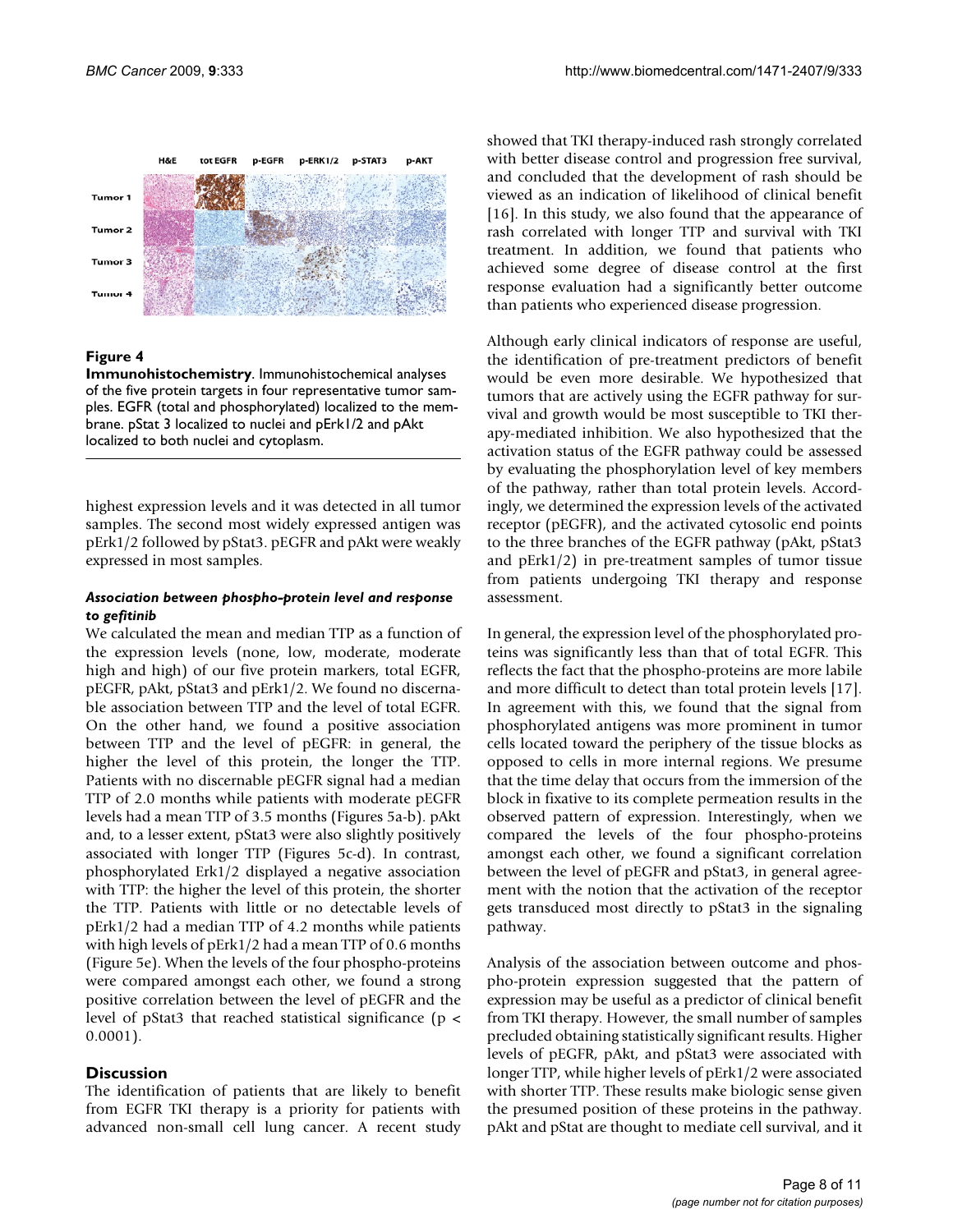

**Immunohistochemistry**. Immunohistochemical analyses of the five protein targets in four representative tumor samples. EGFR (total and phosphorylated) localized to the membrane. pStat 3 localized to nuclei and pErk1/2 and pAkt localized to both nuclei and cytoplasm.

highest expression levels and it was detected in all tumor samples. The second most widely expressed antigen was pErk1/2 followed by pStat3. pEGFR and pAkt were weakly expressed in most samples.

#### *Association between phospho-protein level and response to gefitinib*

We calculated the mean and median TTP as a function of the expression levels (none, low, moderate, moderate high and high) of our five protein markers, total EGFR, pEGFR, pAkt, pStat3 and pErk1/2. We found no discernable association between TTP and the level of total EGFR. On the other hand, we found a positive association between TTP and the level of pEGFR: in general, the higher the level of this protein, the longer the TTP. Patients with no discernable pEGFR signal had a median TTP of 2.0 months while patients with moderate pEGFR levels had a mean TTP of 3.5 months (Figures 5a-b). pAkt and, to a lesser extent, pStat3 were also slightly positively associated with longer TTP (Figures 5c-d). In contrast, phosphorylated Erk1/2 displayed a negative association with TTP: the higher the level of this protein, the shorter the TTP. Patients with little or no detectable levels of pErk1/2 had a median TTP of 4.2 months while patients with high levels of pErk1/2 had a mean TTP of 0.6 months (Figure 5e). When the levels of the four phospho-proteins were compared amongst each other, we found a strong positive correlation between the level of pEGFR and the level of pStat3 that reached statistical significance (p < 0.0001).

#### **Discussion**

The identification of patients that are likely to benefit from EGFR TKI therapy is a priority for patients with advanced non-small cell lung cancer. A recent study showed that TKI therapy-induced rash strongly correlated with better disease control and progression free survival, and concluded that the development of rash should be viewed as an indication of likelihood of clinical benefit [16]. In this study, we also found that the appearance of rash correlated with longer TTP and survival with TKI treatment. In addition, we found that patients who achieved some degree of disease control at the first response evaluation had a significantly better outcome than patients who experienced disease progression.

Although early clinical indicators of response are useful, the identification of pre-treatment predictors of benefit would be even more desirable. We hypothesized that tumors that are actively using the EGFR pathway for survival and growth would be most susceptible to TKI therapy-mediated inhibition. We also hypothesized that the activation status of the EGFR pathway could be assessed by evaluating the phosphorylation level of key members of the pathway, rather than total protein levels. Accordingly, we determined the expression levels of the activated receptor (pEGFR), and the activated cytosolic end points to the three branches of the EGFR pathway (pAkt, pStat3 and pErk1/2) in pre-treatment samples of tumor tissue from patients undergoing TKI therapy and response assessment.

In general, the expression level of the phosphorylated proteins was significantly less than that of total EGFR. This reflects the fact that the phospho-proteins are more labile and more difficult to detect than total protein levels [17]. In agreement with this, we found that the signal from phosphorylated antigens was more prominent in tumor cells located toward the periphery of the tissue blocks as opposed to cells in more internal regions. We presume that the time delay that occurs from the immersion of the block in fixative to its complete permeation results in the observed pattern of expression. Interestingly, when we compared the levels of the four phospho-proteins amongst each other, we found a significant correlation between the level of pEGFR and pStat3, in general agreement with the notion that the activation of the receptor gets transduced most directly to pStat3 in the signaling pathway.

Analysis of the association between outcome and phospho-protein expression suggested that the pattern of expression may be useful as a predictor of clinical benefit from TKI therapy. However, the small number of samples precluded obtaining statistically significant results. Higher levels of pEGFR, pAkt, and pStat3 were associated with longer TTP, while higher levels of pErk1/2 were associated with shorter TTP. These results make biologic sense given the presumed position of these proteins in the pathway. pAkt and pStat are thought to mediate cell survival, and it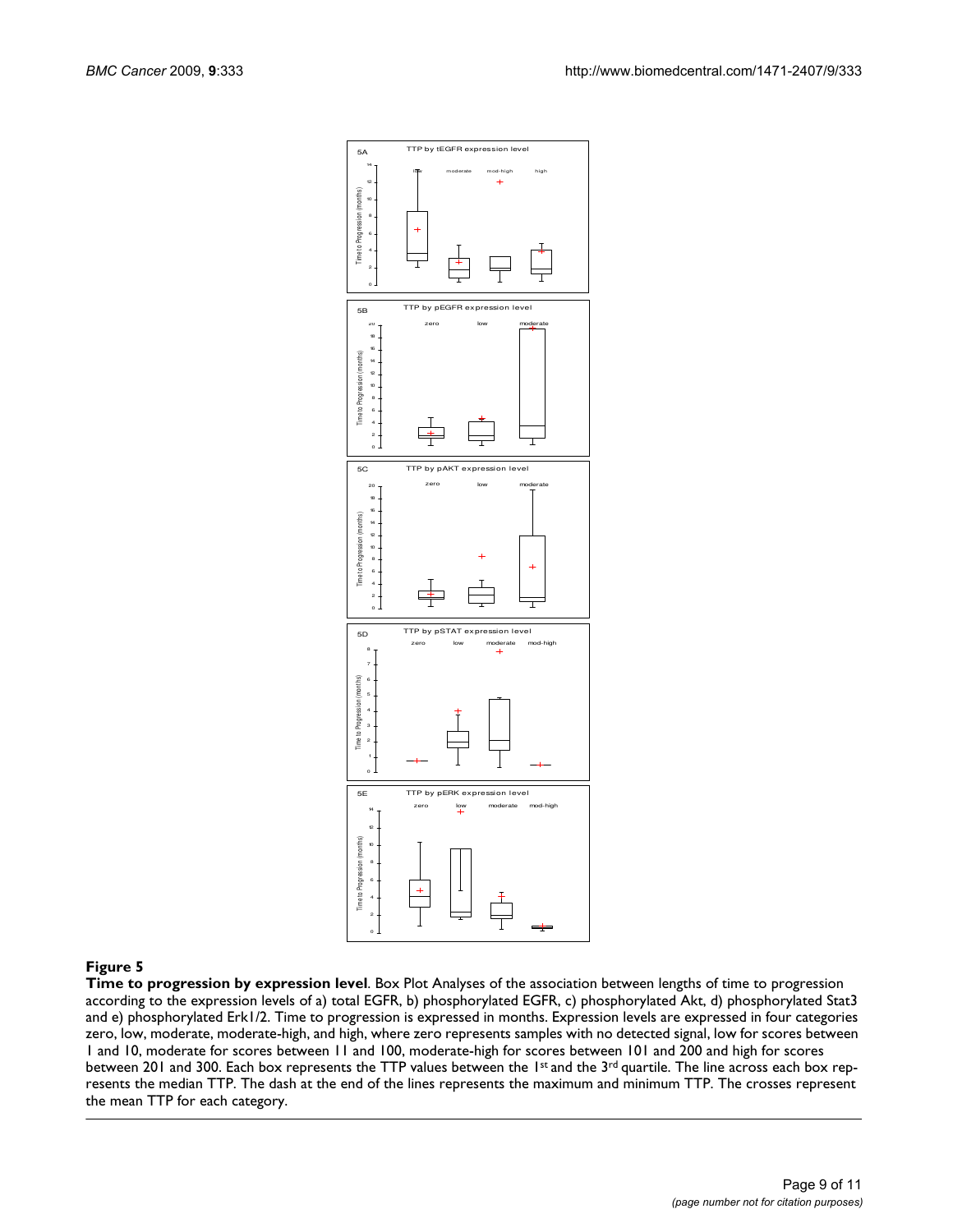

**Time to progression by expression level**. Box Plot Analyses of the association between lengths of time to progression according to the expression levels of a) total EGFR, b) phosphorylated EGFR, c) phosphorylated Akt, d) phosphorylated Stat3 and e) phosphorylated Erk1/2. Time to progression is expressed in months. Expression levels are expressed in four categories zero, low, moderate, moderate-high, and high, where zero represents samples with no detected signal, low for scores between 1 and 10, moderate for scores between 11 and 100, moderate-high for scores between 101 and 200 and high for scores between 201 and 300. Each box represents the TTP values between the 1st and the 3<sup>rd</sup> quartile. The line across each box represents the median TTP. The dash at the end of the lines represents the maximum and minimum TTP. The crosses represent the mean TTP for each category.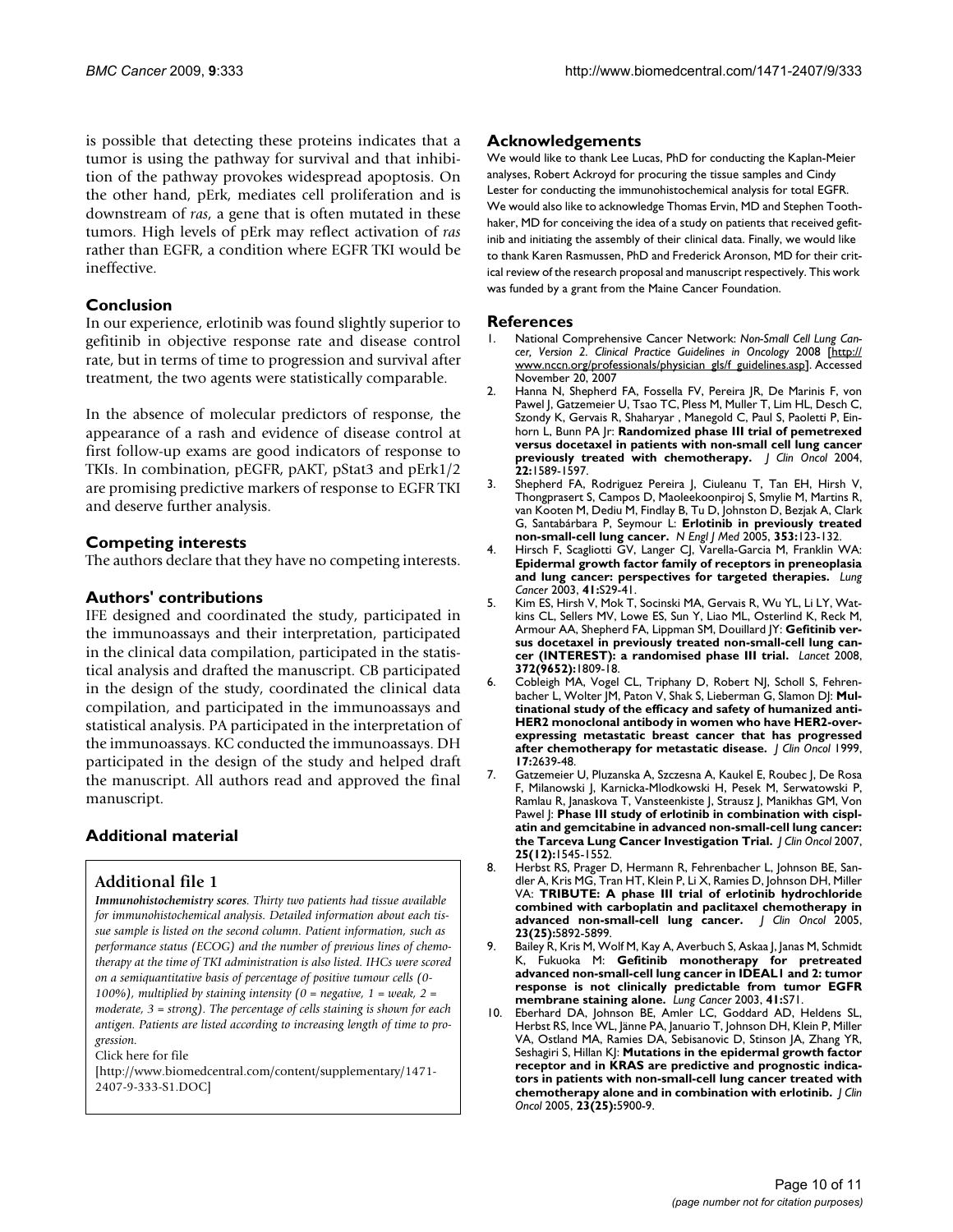is possible that detecting these proteins indicates that a tumor is using the pathway for survival and that inhibition of the pathway provokes widespread apoptosis. On the other hand, pErk, mediates cell proliferation and is downstream of *ras*, a gene that is often mutated in these tumors. High levels of pErk may reflect activation of *ras* rather than EGFR, a condition where EGFR TKI would be ineffective.

#### **Conclusion**

In our experience, erlotinib was found slightly superior to gefitinib in objective response rate and disease control rate, but in terms of time to progression and survival after treatment, the two agents were statistically comparable.

In the absence of molecular predictors of response, the appearance of a rash and evidence of disease control at first follow-up exams are good indicators of response to TKIs. In combination, pEGFR, pAKT, pStat3 and pErk1/2 are promising predictive markers of response to EGFR TKI and deserve further analysis.

#### **Competing interests**

The authors declare that they have no competing interests.

#### **Authors' contributions**

IFE designed and coordinated the study, participated in the immunoassays and their interpretation, participated in the clinical data compilation, participated in the statistical analysis and drafted the manuscript. CB participated in the design of the study, coordinated the clinical data compilation, and participated in the immunoassays and statistical analysis. PA participated in the interpretation of the immunoassays. KC conducted the immunoassays. DH participated in the design of the study and helped draft the manuscript. All authors read and approved the final manuscript.

#### **Additional material**

#### **Additional file 1**

*Immunohistochemistry scores. Thirty two patients had tissue available for immunohistochemical analysis. Detailed information about each tissue sample is listed on the second column. Patient information, such as performance status (ECOG) and the number of previous lines of chemotherapy at the time of TKI administration is also listed. IHCs were scored on a semiquantitative basis of percentage of positive tumour cells (0-* 100%), multiplied by staining intensity ( $0 =$  negative,  $1 =$  weak,  $2 =$ *moderate, 3 = strong). The percentage of cells staining is shown for each antigen. Patients are listed according to increasing length of time to progression.*

Click here for file

[\[http://www.biomedcentral.com/content/supplementary/1471-](http://www.biomedcentral.com/content/supplementary/1471-2407-9-333-S1.DOC) 2407-9-333-S1.DOC]

#### **Acknowledgements**

We would like to thank Lee Lucas, PhD for conducting the Kaplan-Meier analyses, Robert Ackroyd for procuring the tissue samples and Cindy Lester for conducting the immunohistochemical analysis for total EGFR. We would also like to acknowledge Thomas Ervin, MD and Stephen Toothhaker, MD for conceiving the idea of a study on patients that received gefitinib and initiating the assembly of their clinical data. Finally, we would like to thank Karen Rasmussen, PhD and Frederick Aronson, MD for their critical review of the research proposal and manuscript respectively. This work was funded by a grant from the Maine Cancer Foundation.

#### **References**

- 1. National Comprehensive Cancer Network: *Non-Small Cell Lung Cancer, Version 2. Clinical Practice Guidelines in Oncology* 2008 [\[http://](http://www.nccn.org/professionals/physician_gls/f_guidelines.asp) [www.nccn.org/professionals/physician\\_gls/f\\_guidelines.asp](http://www.nccn.org/professionals/physician_gls/f_guidelines.asp)]. Accessed November 20, 2007
- 2. Hanna N, Shepherd FA, Fossella FV, Pereira JR, De Marinis F, von Pawel J, Gatzemeier U, Tsao TC, Pless M, Muller T, Lim HL, Desch C, Szondy K, Gervais R, Shaharyar , Manegold C, Paul S, Paoletti P, Einhorn L, Bunn PA Jr: **[Randomized phase III trial of pemetrexed](http://www.ncbi.nlm.nih.gov/entrez/query.fcgi?cmd=Retrieve&db=PubMed&dopt=Abstract&list_uids=15117980) [versus docetaxel in patients with non-small cell lung cancer](http://www.ncbi.nlm.nih.gov/entrez/query.fcgi?cmd=Retrieve&db=PubMed&dopt=Abstract&list_uids=15117980) [previously treated with chemotherapy.](http://www.ncbi.nlm.nih.gov/entrez/query.fcgi?cmd=Retrieve&db=PubMed&dopt=Abstract&list_uids=15117980)** *J Clin Oncol* 2004, **22:**1589-1597.
- 3. Shepherd FA, Rodriguez Pereira J, Ciuleanu T, Tan EH, Hirsh V, Thongprasert S, Campos D, Maoleekoonpiroj S, Smylie M, Martins R, van Kooten M, Dediu M, Findlay B, Tu D, Johnston D, Bezjak A, Clark G, Santabárbara P, Seymour L: **[Erlotinib in previously treated](http://www.ncbi.nlm.nih.gov/entrez/query.fcgi?cmd=Retrieve&db=PubMed&dopt=Abstract&list_uids=16014882) [non-small-cell lung cancer.](http://www.ncbi.nlm.nih.gov/entrez/query.fcgi?cmd=Retrieve&db=PubMed&dopt=Abstract&list_uids=16014882)** *N Engl J Med* 2005, **353:**123-132.
- 4. Hirsch F, Scagliotti GV, Langer CJ, Varella-Garcia M, Franklin WA: **[Epidermal growth factor family of receptors in preneoplasia](http://www.ncbi.nlm.nih.gov/entrez/query.fcgi?cmd=Retrieve&db=PubMed&dopt=Abstract&list_uids=12867060) [and lung cancer: perspectives for targeted therapies.](http://www.ncbi.nlm.nih.gov/entrez/query.fcgi?cmd=Retrieve&db=PubMed&dopt=Abstract&list_uids=12867060)** *Lung Cancer* 2003, **41:**S29-41.
- 5. Kim ES, Hirsh V, Mok T, Socinski MA, Gervais R, Wu YL, Li LY, Watkins CL, Sellers MV, Lowe ES, Sun Y, Liao ML, Osterlind K, Reck M, Armour AA, Shepherd FA, Lippman SM, Douillard JY: **[Gefitinib ver](http://www.ncbi.nlm.nih.gov/entrez/query.fcgi?cmd=Retrieve&db=PubMed&dopt=Abstract&list_uids=19027483)[sus docetaxel in previously treated non-small-cell lung can](http://www.ncbi.nlm.nih.gov/entrez/query.fcgi?cmd=Retrieve&db=PubMed&dopt=Abstract&list_uids=19027483)[cer \(INTEREST\): a randomised phase III trial.](http://www.ncbi.nlm.nih.gov/entrez/query.fcgi?cmd=Retrieve&db=PubMed&dopt=Abstract&list_uids=19027483)** *Lancet* 2008, **372(9652):**1809-18.
- 6. Cobleigh MA, Vogel CL, Triphany D, Robert NJ, Scholl S, Fehren-bacher L, Wolter JM, Paton V, Shak S, Lieberman G, Slamon DJ: [Mul](http://www.ncbi.nlm.nih.gov/entrez/query.fcgi?cmd=Retrieve&db=PubMed&dopt=Abstract&list_uids=10561337)**[tinational study of the efficacy and safety of humanized anti-](http://www.ncbi.nlm.nih.gov/entrez/query.fcgi?cmd=Retrieve&db=PubMed&dopt=Abstract&list_uids=10561337)HER2 monoclonal antibody in women who have HER2-overexpressing metastatic breast cancer that has progressed [after chemotherapy for metastatic disease.](http://www.ncbi.nlm.nih.gov/entrez/query.fcgi?cmd=Retrieve&db=PubMed&dopt=Abstract&list_uids=10561337)** *J Clin Oncol* 1999, **17:**2639-48.
- 7. Gatzemeier U, Pluzanska A, Szczesna A, Kaukel E, Roubec J, De Rosa F, Milanowski J, Karnicka-Mlodkowski H, Pesek M, Serwatowski P, Ramlau R, Janaskova T, Vansteenkiste J, Strausz J, Manikhas GM, Von Pawel J: **[Phase III study of erlotinib in combination with cispl](http://www.ncbi.nlm.nih.gov/entrez/query.fcgi?cmd=Retrieve&db=PubMed&dopt=Abstract&list_uids=17442998)[atin and gemcitabine in advanced non-small-cell lung cancer:](http://www.ncbi.nlm.nih.gov/entrez/query.fcgi?cmd=Retrieve&db=PubMed&dopt=Abstract&list_uids=17442998) [the Tarceva Lung Cancer Investigation Trial.](http://www.ncbi.nlm.nih.gov/entrez/query.fcgi?cmd=Retrieve&db=PubMed&dopt=Abstract&list_uids=17442998)** *J Clin Oncol* 2007, **25(12):**1545-1552.
- 8. Herbst RS, Prager D, Hermann R, Fehrenbacher L, Johnson BE, Sandler A, Kris MG, Tran HT, Klein P, Li X, Ramies D, Johnson DH, Miller VA: **[TRIBUTE: A phase III trial of erlotinib hydrochloride](http://www.ncbi.nlm.nih.gov/entrez/query.fcgi?cmd=Retrieve&db=PubMed&dopt=Abstract&list_uids=16043829) [combined with carboplatin and paclitaxel chemotherapy in](http://www.ncbi.nlm.nih.gov/entrez/query.fcgi?cmd=Retrieve&db=PubMed&dopt=Abstract&list_uids=16043829) [advanced non-small-cell lung cancer.](http://www.ncbi.nlm.nih.gov/entrez/query.fcgi?cmd=Retrieve&db=PubMed&dopt=Abstract&list_uids=16043829)** *J Clin Oncol* 2005, **23(25):**5892-5899.
- 9. Bailey R, Kris M, Wolf M, Kay A, Averbuch S, Askaa J, Janas M, Schmidt K, Fukuoka M: **Gefitinib monotherapy for pretreated advanced non-small-cell lung cancer in IDEAL1 and 2: tumor response is not clinically predictable from tumor EGFR membrane staining alone.** *Lung Cancer* 2003, **41:**S71.
- Eberhard DA, Johnson BE, Amler LC, Goddard AD, Heldens SL, Herbst RS, Ince WL, Jänne PA, Januario T, Johnson DH, Klein P, Miller VA, Ostland MA, Ramies DA, Sebisanovic D, Stinson JA, Zhang YR, Seshagiri S, Hillan KJ: **[Mutations in the epidermal growth factor](http://www.ncbi.nlm.nih.gov/entrez/query.fcgi?cmd=Retrieve&db=PubMed&dopt=Abstract&list_uids=16043828) [receptor and in KRAS are predictive and prognostic indica](http://www.ncbi.nlm.nih.gov/entrez/query.fcgi?cmd=Retrieve&db=PubMed&dopt=Abstract&list_uids=16043828)tors in patients with non-small-cell lung cancer treated with [chemotherapy alone and in combination with erlotinib.](http://www.ncbi.nlm.nih.gov/entrez/query.fcgi?cmd=Retrieve&db=PubMed&dopt=Abstract&list_uids=16043828)** *J Clin Oncol* 2005, **23(25):**5900-9.